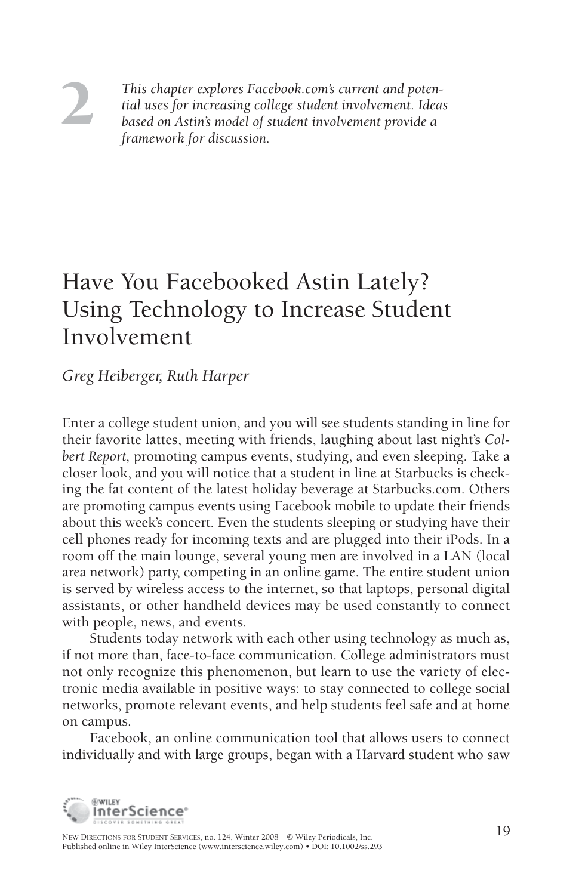2

*This chapter explores Facebook.com's current and potential uses for increasing college student involvement. Ideas based on Astin's model of student involvement provide a framework for discussion.*

# Have You Facebooked Astin Lately? Using Technology to Increase Student Involvement

## *Greg Heiberger, Ruth Harper*

Enter a college student union, and you will see students standing in line for their favorite lattes, meeting with friends, laughing about last night's *Colbert Report,* promoting campus events, studying, and even sleeping. Take a closer look, and you will notice that a student in line at Starbucks is checking the fat content of the latest holiday beverage at Starbucks.com. Others are promoting campus events using Facebook mobile to update their friends about this week's concert. Even the students sleeping or studying have their cell phones ready for incoming texts and are plugged into their iPods. In a room off the main lounge, several young men are involved in a LAN (local area network) party, competing in an online game. The entire student union is served by wireless access to the internet, so that laptops, personal digital assistants, or other handheld devices may be used constantly to connect with people, news, and events.

Students today network with each other using technology as much as, if not more than, face-to-face communication. College administrators must not only recognize this phenomenon, but learn to use the variety of electronic media available in positive ways: to stay connected to college social networks, promote relevant events, and help students feel safe and at home on campus.

Facebook, an online communication tool that allows users to connect individually and with large groups, began with a Harvard student who saw

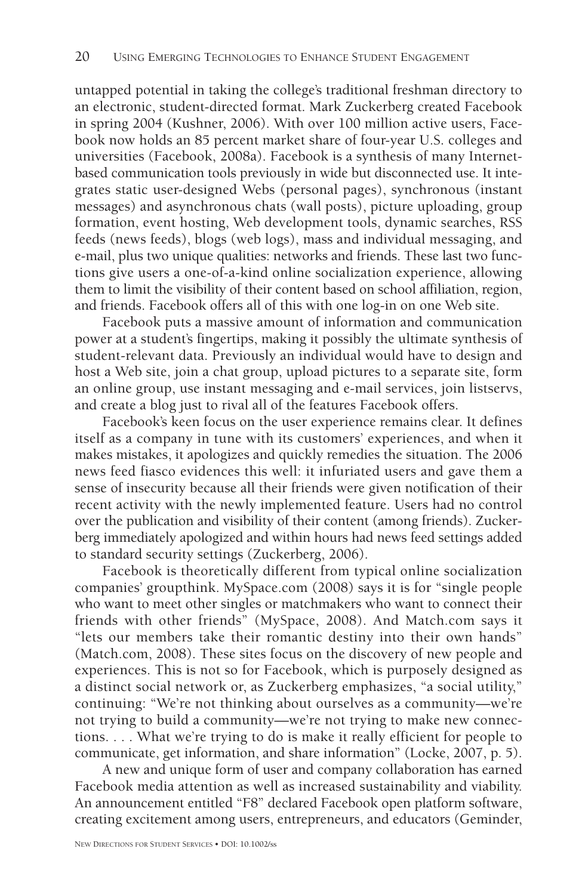untapped potential in taking the college's traditional freshman directory to an electronic, student-directed format. Mark Zuckerberg created Facebook in spring 2004 (Kushner, 2006). With over 100 million active users, Facebook now holds an 85 percent market share of four-year U.S. colleges and universities (Facebook, 2008a). Facebook is a synthesis of many Internetbased communication tools previously in wide but disconnected use. It integrates static user-designed Webs (personal pages), synchronous (instant messages) and asynchronous chats (wall posts), picture uploading, group formation, event hosting, Web development tools, dynamic searches, RSS feeds (news feeds), blogs (web logs), mass and individual messaging, and e-mail, plus two unique qualities: networks and friends. These last two functions give users a one-of-a-kind online socialization experience, allowing them to limit the visibility of their content based on school affiliation, region, and friends. Facebook offers all of this with one log-in on one Web site.

Facebook puts a massive amount of information and communication power at a student's fingertips, making it possibly the ultimate synthesis of student-relevant data. Previously an individual would have to design and host a Web site, join a chat group, upload pictures to a separate site, form an online group, use instant messaging and e-mail services, join listservs, and create a blog just to rival all of the features Facebook offers.

Facebook's keen focus on the user experience remains clear. It defines itself as a company in tune with its customers' experiences, and when it makes mistakes, it apologizes and quickly remedies the situation. The 2006 news feed fiasco evidences this well: it infuriated users and gave them a sense of insecurity because all their friends were given notification of their recent activity with the newly implemented feature. Users had no control over the publication and visibility of their content (among friends). Zuckerberg immediately apologized and within hours had news feed settings added to standard security settings (Zuckerberg, 2006).

Facebook is theoretically different from typical online socialization companies' groupthink. MySpace.com (2008) says it is for "single people who want to meet other singles or matchmakers who want to connect their friends with other friends" (MySpace, 2008). And Match.com says it "lets our members take their romantic destiny into their own hands" (Match.com, 2008). These sites focus on the discovery of new people and experiences. This is not so for Facebook, which is purposely designed as a distinct social network or, as Zuckerberg emphasizes, "a social utility," continuing: "We're not thinking about ourselves as a community—we're not trying to build a community—we're not trying to make new connections. . . . What we're trying to do is make it really efficient for people to communicate, get information, and share information" (Locke, 2007, p. 5).

A new and unique form of user and company collaboration has earned Facebook media attention as well as increased sustainability and viability. An announcement entitled "F8" declared Facebook open platform software, creating excitement among users, entrepreneurs, and educators (Geminder,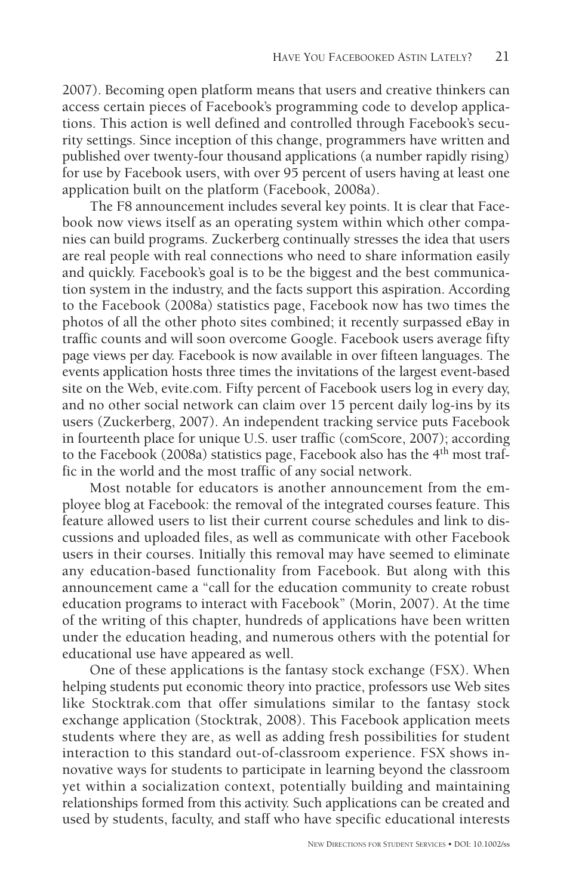2007). Becoming open platform means that users and creative thinkers can access certain pieces of Facebook's programming code to develop applications. This action is well defined and controlled through Facebook's security settings. Since inception of this change, programmers have written and published over twenty-four thousand applications (a number rapidly rising) for use by Facebook users, with over 95 percent of users having at least one application built on the platform (Facebook, 2008a).

The F8 announcement includes several key points. It is clear that Facebook now views itself as an operating system within which other companies can build programs. Zuckerberg continually stresses the idea that users are real people with real connections who need to share information easily and quickly. Facebook's goal is to be the biggest and the best communication system in the industry, and the facts support this aspiration. According to the Facebook (2008a) statistics page, Facebook now has two times the photos of all the other photo sites combined; it recently surpassed eBay in traffic counts and will soon overcome Google. Facebook users average fifty page views per day. Facebook is now available in over fifteen languages. The events application hosts three times the invitations of the largest event-based site on the Web, evite.com. Fifty percent of Facebook users log in every day, and no other social network can claim over 15 percent daily log-ins by its users (Zuckerberg, 2007). An independent tracking service puts Facebook in fourteenth place for unique U.S. user traffic (comScore, 2007); according to the Facebook (2008a) statistics page, Facebook also has the 4th most traffic in the world and the most traffic of any social network.

Most notable for educators is another announcement from the employee blog at Facebook: the removal of the integrated courses feature. This feature allowed users to list their current course schedules and link to discussions and uploaded files, as well as communicate with other Facebook users in their courses. Initially this removal may have seemed to eliminate any education-based functionality from Facebook. But along with this announcement came a "call for the education community to create robust education programs to interact with Facebook" (Morin, 2007). At the time of the writing of this chapter, hundreds of applications have been written under the education heading, and numerous others with the potential for educational use have appeared as well.

One of these applications is the fantasy stock exchange (FSX). When helping students put economic theory into practice, professors use Web sites like Stocktrak.com that offer simulations similar to the fantasy stock exchange application (Stocktrak, 2008). This Facebook application meets students where they are, as well as adding fresh possibilities for student interaction to this standard out-of-classroom experience. FSX shows innovative ways for students to participate in learning beyond the classroom yet within a socialization context, potentially building and maintaining relationships formed from this activity. Such applications can be created and used by students, faculty, and staff who have specific educational interests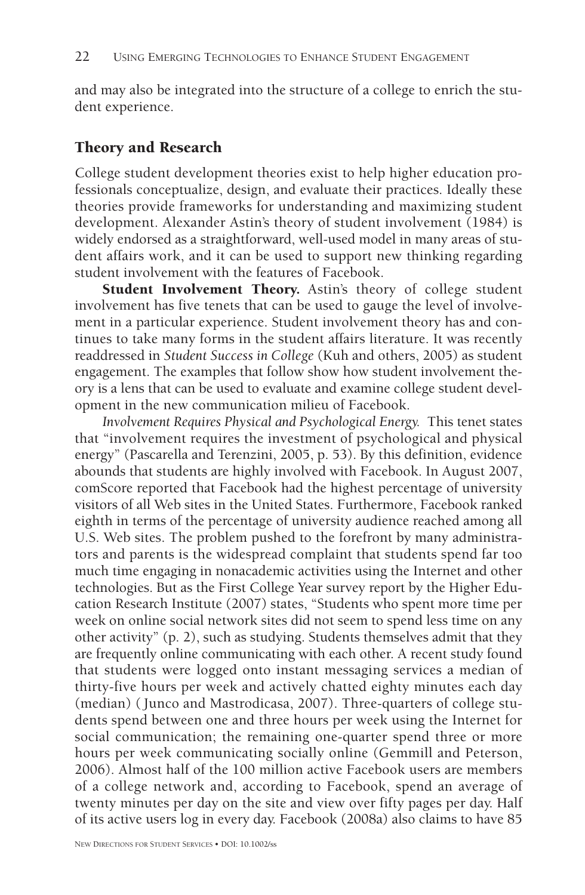and may also be integrated into the structure of a college to enrich the student experience.

#### Theory and Research

College student development theories exist to help higher education professionals conceptualize, design, and evaluate their practices. Ideally these theories provide frameworks for understanding and maximizing student development. Alexander Astin's theory of student involvement (1984) is widely endorsed as a straightforward, well-used model in many areas of student affairs work, and it can be used to support new thinking regarding student involvement with the features of Facebook.

Student Involvement Theory. Astin's theory of college student involvement has five tenets that can be used to gauge the level of involvement in a particular experience. Student involvement theory has and continues to take many forms in the student affairs literature. It was recently readdressed in *Student Success in College* (Kuh and others, 2005) as student engagement. The examples that follow show how student involvement theory is a lens that can be used to evaluate and examine college student development in the new communication milieu of Facebook.

*Involvement Requires Physical and Psychological Energy.* This tenet states that "involvement requires the investment of psychological and physical energy" (Pascarella and Terenzini, 2005, p. 53). By this definition, evidence abounds that students are highly involved with Facebook. In August 2007, comScore reported that Facebook had the highest percentage of university visitors of all Web sites in the United States. Furthermore, Facebook ranked eighth in terms of the percentage of university audience reached among all U.S. Web sites. The problem pushed to the forefront by many administrators and parents is the widespread complaint that students spend far too much time engaging in nonacademic activities using the Internet and other technologies. But as the First College Year survey report by the Higher Education Research Institute (2007) states, "Students who spent more time per week on online social network sites did not seem to spend less time on any other activity" (p. 2), such as studying. Students themselves admit that they are frequently online communicating with each other. A recent study found that students were logged onto instant messaging services a median of thirty-five hours per week and actively chatted eighty minutes each day (median) ( Junco and Mastrodicasa, 2007). Three-quarters of college students spend between one and three hours per week using the Internet for social communication; the remaining one-quarter spend three or more hours per week communicating socially online (Gemmill and Peterson, 2006). Almost half of the 100 million active Facebook users are members of a college network and, according to Facebook, spend an average of twenty minutes per day on the site and view over fifty pages per day. Half of its active users log in every day. Facebook (2008a) also claims to have 85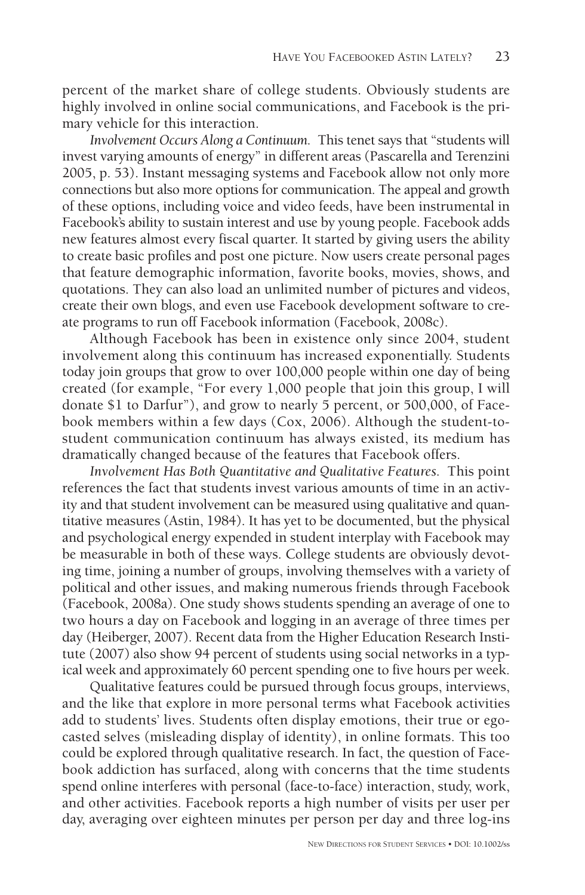percent of the market share of college students. Obviously students are highly involved in online social communications, and Facebook is the primary vehicle for this interaction.

*Involvement Occurs Along a Continuum.* This tenet says that "students will invest varying amounts of energy" in different areas (Pascarella and Terenzini 2005, p. 53). Instant messaging systems and Facebook allow not only more connections but also more options for communication. The appeal and growth of these options, including voice and video feeds, have been instrumental in Facebook's ability to sustain interest and use by young people. Facebook adds new features almost every fiscal quarter. It started by giving users the ability to create basic profiles and post one picture. Now users create personal pages that feature demographic information, favorite books, movies, shows, and quotations. They can also load an unlimited number of pictures and videos, create their own blogs, and even use Facebook development software to create programs to run off Facebook information (Facebook, 2008c).

Although Facebook has been in existence only since 2004, student involvement along this continuum has increased exponentially. Students today join groups that grow to over 100,000 people within one day of being created (for example, "For every 1,000 people that join this group, I will donate \$1 to Darfur"), and grow to nearly 5 percent, or 500,000, of Facebook members within a few days (Cox, 2006). Although the student-tostudent communication continuum has always existed, its medium has dramatically changed because of the features that Facebook offers.

*Involvement Has Both Quantitative and Qualitative Features.* This point references the fact that students invest various amounts of time in an activity and that student involvement can be measured using qualitative and quantitative measures (Astin, 1984). It has yet to be documented, but the physical and psychological energy expended in student interplay with Facebook may be measurable in both of these ways. College students are obviously devoting time, joining a number of groups, involving themselves with a variety of political and other issues, and making numerous friends through Facebook (Facebook, 2008a). One study shows students spending an average of one to two hours a day on Facebook and logging in an average of three times per day (Heiberger, 2007). Recent data from the Higher Education Research Institute (2007) also show 94 percent of students using social networks in a typical week and approximately 60 percent spending one to five hours per week.

Qualitative features could be pursued through focus groups, interviews, and the like that explore in more personal terms what Facebook activities add to students' lives. Students often display emotions, their true or egocasted selves (misleading display of identity), in online formats. This too could be explored through qualitative research. In fact, the question of Facebook addiction has surfaced, along with concerns that the time students spend online interferes with personal (face-to-face) interaction, study, work, and other activities. Facebook reports a high number of visits per user per day, averaging over eighteen minutes per person per day and three log-ins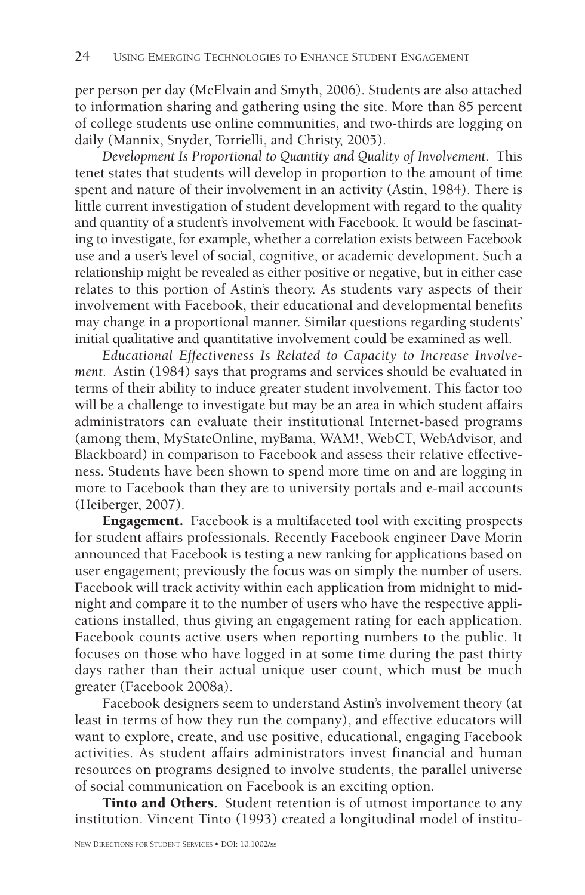per person per day (McElvain and Smyth, 2006). Students are also attached to information sharing and gathering using the site. More than 85 percent of college students use online communities, and two-thirds are logging on daily (Mannix, Snyder, Torrielli, and Christy, 2005).

*Development Is Proportional to Quantity and Quality of Involvement.* This tenet states that students will develop in proportion to the amount of time spent and nature of their involvement in an activity (Astin, 1984). There is little current investigation of student development with regard to the quality and quantity of a student's involvement with Facebook. It would be fascinating to investigate, for example, whether a correlation exists between Facebook use and a user's level of social, cognitive, or academic development. Such a relationship might be revealed as either positive or negative, but in either case relates to this portion of Astin's theory. As students vary aspects of their involvement with Facebook, their educational and developmental benefits may change in a proportional manner. Similar questions regarding students' initial qualitative and quantitative involvement could be examined as well.

*Educational Effectiveness Is Related to Capacity to Increase Involvement.* Astin (1984) says that programs and services should be evaluated in terms of their ability to induce greater student involvement. This factor too will be a challenge to investigate but may be an area in which student affairs administrators can evaluate their institutional Internet-based programs (among them, MyStateOnline, myBama, WAM!, WebCT, WebAdvisor, and Blackboard) in comparison to Facebook and assess their relative effectiveness. Students have been shown to spend more time on and are logging in more to Facebook than they are to university portals and e-mail accounts (Heiberger, 2007).

Engagement. Facebook is a multifaceted tool with exciting prospects for student affairs professionals. Recently Facebook engineer Dave Morin announced that Facebook is testing a new ranking for applications based on user engagement; previously the focus was on simply the number of users*.* Facebook will track activity within each application from midnight to midnight and compare it to the number of users who have the respective applications installed, thus giving an engagement rating for each application. Facebook counts active users when reporting numbers to the public. It focuses on those who have logged in at some time during the past thirty days rather than their actual unique user count, which must be much greater (Facebook 2008a).

Facebook designers seem to understand Astin's involvement theory (at least in terms of how they run the company), and effective educators will want to explore, create, and use positive, educational, engaging Facebook activities. As student affairs administrators invest financial and human resources on programs designed to involve students, the parallel universe of social communication on Facebook is an exciting option.

Tinto and Others. Student retention is of utmost importance to any institution. Vincent Tinto (1993) created a longitudinal model of institu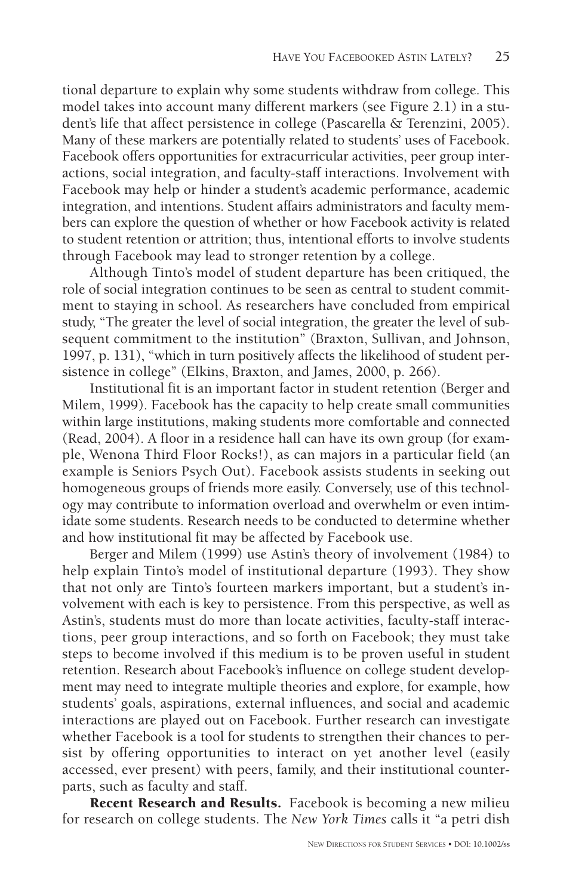tional departure to explain why some students withdraw from college. This model takes into account many different markers (see Figure 2.1) in a student's life that affect persistence in college (Pascarella & Terenzini, 2005). Many of these markers are potentially related to students' uses of Facebook. Facebook offers opportunities for extracurricular activities, peer group interactions, social integration, and faculty-staff interactions. Involvement with Facebook may help or hinder a student's academic performance, academic integration, and intentions. Student affairs administrators and faculty members can explore the question of whether or how Facebook activity is related to student retention or attrition; thus, intentional efforts to involve students through Facebook may lead to stronger retention by a college.

Although Tinto's model of student departure has been critiqued, the role of social integration continues to be seen as central to student commitment to staying in school. As researchers have concluded from empirical study, "The greater the level of social integration, the greater the level of subsequent commitment to the institution" (Braxton, Sullivan, and Johnson, 1997, p. 131), "which in turn positively affects the likelihood of student persistence in college" (Elkins, Braxton, and James, 2000, p. 266).

Institutional fit is an important factor in student retention (Berger and Milem, 1999). Facebook has the capacity to help create small communities within large institutions, making students more comfortable and connected (Read, 2004). A floor in a residence hall can have its own group (for example, Wenona Third Floor Rocks!), as can majors in a particular field (an example is Seniors Psych Out). Facebook assists students in seeking out homogeneous groups of friends more easily. Conversely, use of this technology may contribute to information overload and overwhelm or even intimidate some students. Research needs to be conducted to determine whether and how institutional fit may be affected by Facebook use.

Berger and Milem (1999) use Astin's theory of involvement (1984) to help explain Tinto's model of institutional departure (1993). They show that not only are Tinto's fourteen markers important, but a student's involvement with each is key to persistence. From this perspective, as well as Astin's, students must do more than locate activities, faculty-staff interactions, peer group interactions, and so forth on Facebook; they must take steps to become involved if this medium is to be proven useful in student retention. Research about Facebook's influence on college student development may need to integrate multiple theories and explore, for example, how students' goals, aspirations, external influences, and social and academic interactions are played out on Facebook. Further research can investigate whether Facebook is a tool for students to strengthen their chances to persist by offering opportunities to interact on yet another level (easily accessed, ever present) with peers, family, and their institutional counterparts, such as faculty and staff.

Recent Research and Results. Facebook is becoming a new milieu for research on college students. The *New York Times* calls it "a petri dish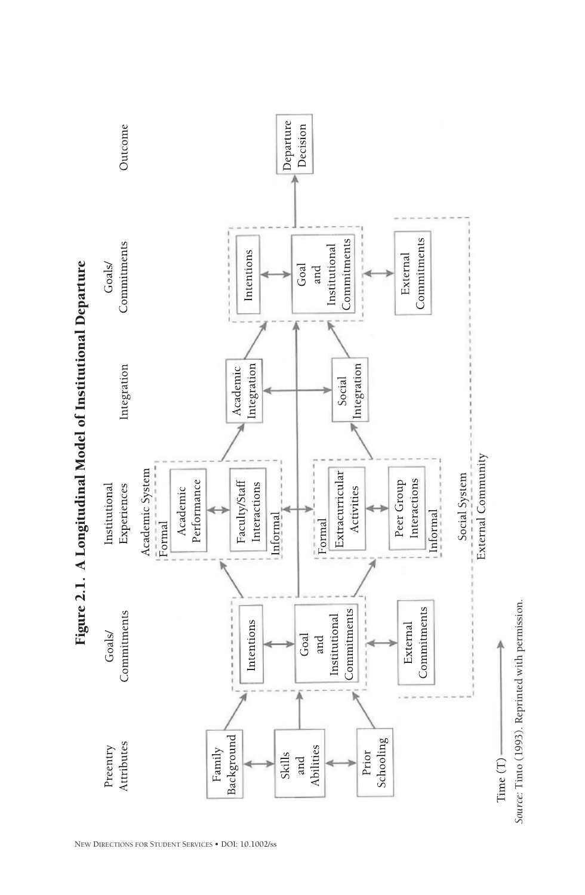

*Source:* Tinto (1993). Reprinted with permission.

Source: Tinto (1993). Reprinted with permission.

Figure 2.1. A Longitudinal Model of Institutional Departure Figure 2.1. A Longitudinal Model of Institutional Departure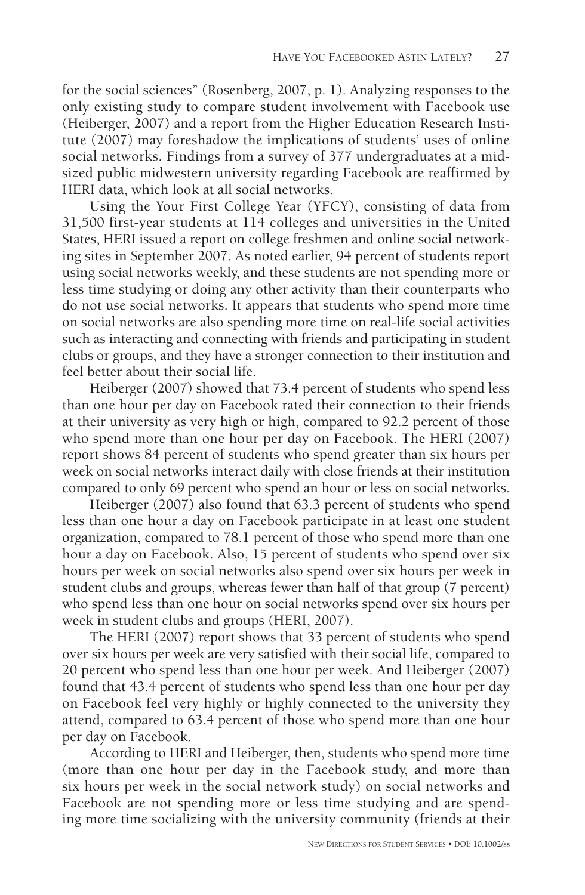for the social sciences" (Rosenberg, 2007, p. 1). Analyzing responses to the only existing study to compare student involvement with Facebook use (Heiberger, 2007) and a report from the Higher Education Research Institute (2007) may foreshadow the implications of students' uses of online social networks. Findings from a survey of 377 undergraduates at a midsized public midwestern university regarding Facebook are reaffirmed by HERI data, which look at all social networks.

Using the Your First College Year (YFCY), consisting of data from 31,500 first-year students at 114 colleges and universities in the United States, HERI issued a report on college freshmen and online social networking sites in September 2007. As noted earlier, 94 percent of students report using social networks weekly, and these students are not spending more or less time studying or doing any other activity than their counterparts who do not use social networks. It appears that students who spend more time on social networks are also spending more time on real-life social activities such as interacting and connecting with friends and participating in student clubs or groups, and they have a stronger connection to their institution and feel better about their social life.

Heiberger (2007) showed that 73.4 percent of students who spend less than one hour per day on Facebook rated their connection to their friends at their university as very high or high, compared to 92.2 percent of those who spend more than one hour per day on Facebook. The HERI (2007) report shows 84 percent of students who spend greater than six hours per week on social networks interact daily with close friends at their institution compared to only 69 percent who spend an hour or less on social networks.

Heiberger (2007) also found that 63.3 percent of students who spend less than one hour a day on Facebook participate in at least one student organization, compared to 78.1 percent of those who spend more than one hour a day on Facebook. Also, 15 percent of students who spend over six hours per week on social networks also spend over six hours per week in student clubs and groups, whereas fewer than half of that group (7 percent) who spend less than one hour on social networks spend over six hours per week in student clubs and groups (HERI, 2007).

The HERI (2007) report shows that 33 percent of students who spend over six hours per week are very satisfied with their social life, compared to 20 percent who spend less than one hour per week. And Heiberger (2007) found that 43.4 percent of students who spend less than one hour per day on Facebook feel very highly or highly connected to the university they attend, compared to 63.4 percent of those who spend more than one hour per day on Facebook.

According to HERI and Heiberger, then, students who spend more time (more than one hour per day in the Facebook study, and more than six hours per week in the social network study) on social networks and Facebook are not spending more or less time studying and are spending more time socializing with the university community (friends at their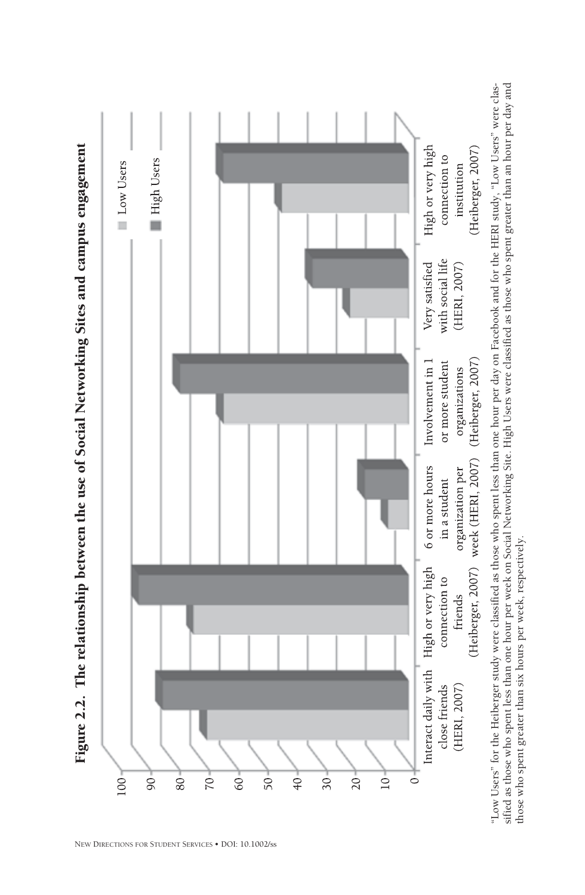

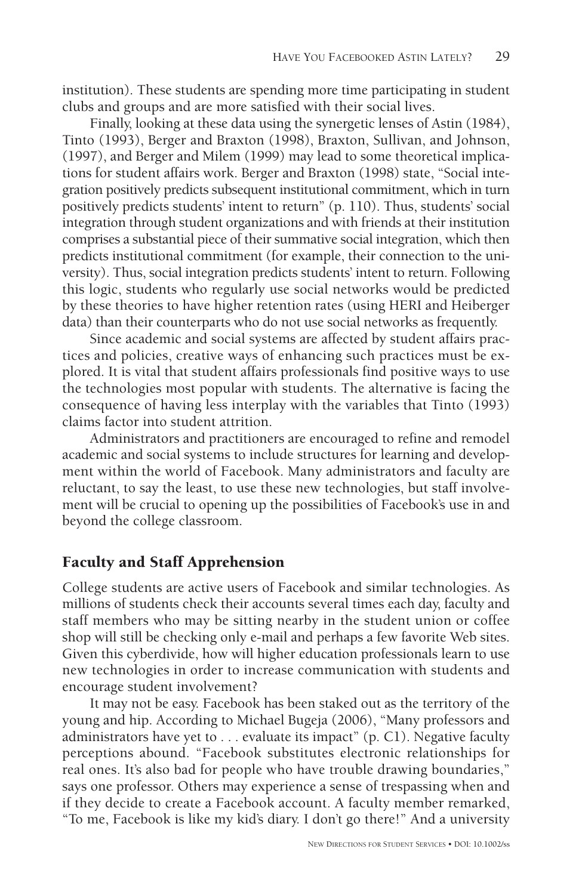institution). These students are spending more time participating in student clubs and groups and are more satisfied with their social lives.

Finally, looking at these data using the synergetic lenses of Astin (1984), Tinto (1993), Berger and Braxton (1998), Braxton, Sullivan, and Johnson, (1997), and Berger and Milem (1999) may lead to some theoretical implications for student affairs work. Berger and Braxton (1998) state, "Social integration positively predicts subsequent institutional commitment, which in turn positively predicts students' intent to return" (p. 110). Thus, students' social integration through student organizations and with friends at their institution comprises a substantial piece of their summative social integration, which then predicts institutional commitment (for example, their connection to the university). Thus, social integration predicts students' intent to return. Following this logic, students who regularly use social networks would be predicted by these theories to have higher retention rates (using HERI and Heiberger data) than their counterparts who do not use social networks as frequently.

Since academic and social systems are affected by student affairs practices and policies, creative ways of enhancing such practices must be explored. It is vital that student affairs professionals find positive ways to use the technologies most popular with students. The alternative is facing the consequence of having less interplay with the variables that Tinto (1993) claims factor into student attrition.

Administrators and practitioners are encouraged to refine and remodel academic and social systems to include structures for learning and development within the world of Facebook. Many administrators and faculty are reluctant, to say the least, to use these new technologies, but staff involvement will be crucial to opening up the possibilities of Facebook's use in and beyond the college classroom.

## Faculty and Staff Apprehension

College students are active users of Facebook and similar technologies. As millions of students check their accounts several times each day, faculty and staff members who may be sitting nearby in the student union or coffee shop will still be checking only e-mail and perhaps a few favorite Web sites. Given this cyberdivide, how will higher education professionals learn to use new technologies in order to increase communication with students and encourage student involvement?

It may not be easy. Facebook has been staked out as the territory of the young and hip. According to Michael Bugeja (2006), "Many professors and administrators have yet to . . . evaluate its impact" (p. C1). Negative faculty perceptions abound. "Facebook substitutes electronic relationships for real ones. It's also bad for people who have trouble drawing boundaries," says one professor. Others may experience a sense of trespassing when and if they decide to create a Facebook account. A faculty member remarked, "To me, Facebook is like my kid's diary. I don't go there!" And a university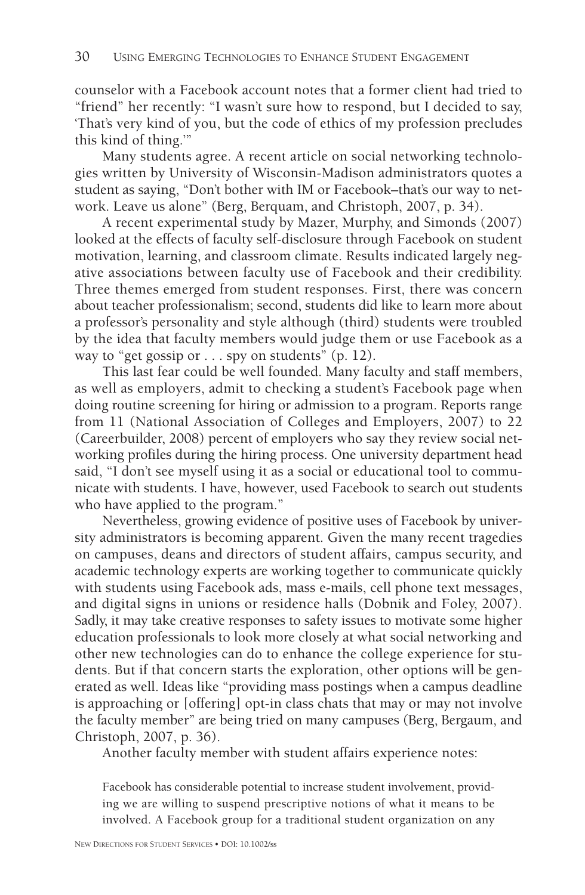counselor with a Facebook account notes that a former client had tried to "friend" her recently: "I wasn't sure how to respond, but I decided to say, 'That's very kind of you, but the code of ethics of my profession precludes this kind of thing.'"

Many students agree. A recent article on social networking technologies written by University of Wisconsin-Madison administrators quotes a student as saying, "Don't bother with IM or Facebook–that's our way to network. Leave us alone" (Berg, Berquam, and Christoph, 2007, p. 34).

A recent experimental study by Mazer, Murphy, and Simonds (2007) looked at the effects of faculty self-disclosure through Facebook on student motivation, learning, and classroom climate. Results indicated largely negative associations between faculty use of Facebook and their credibility. Three themes emerged from student responses. First, there was concern about teacher professionalism; second, students did like to learn more about a professor's personality and style although (third) students were troubled by the idea that faculty members would judge them or use Facebook as a way to "get gossip or . . . spy on students" (p. 12).

This last fear could be well founded. Many faculty and staff members, as well as employers, admit to checking a student's Facebook page when doing routine screening for hiring or admission to a program. Reports range from 11 (National Association of Colleges and Employers, 2007) to 22 (Careerbuilder, 2008) percent of employers who say they review social networking profiles during the hiring process. One university department head said, "I don't see myself using it as a social or educational tool to communicate with students. I have, however, used Facebook to search out students who have applied to the program."

Nevertheless, growing evidence of positive uses of Facebook by university administrators is becoming apparent. Given the many recent tragedies on campuses, deans and directors of student affairs, campus security, and academic technology experts are working together to communicate quickly with students using Facebook ads, mass e-mails, cell phone text messages, and digital signs in unions or residence halls (Dobnik and Foley, 2007). Sadly, it may take creative responses to safety issues to motivate some higher education professionals to look more closely at what social networking and other new technologies can do to enhance the college experience for students. But if that concern starts the exploration, other options will be generated as well. Ideas like "providing mass postings when a campus deadline is approaching or [offering] opt-in class chats that may or may not involve the faculty member" are being tried on many campuses (Berg, Bergaum, and Christoph, 2007, p. 36).

Another faculty member with student affairs experience notes:

Facebook has considerable potential to increase student involvement, providing we are willing to suspend prescriptive notions of what it means to be involved. A Facebook group for a traditional student organization on any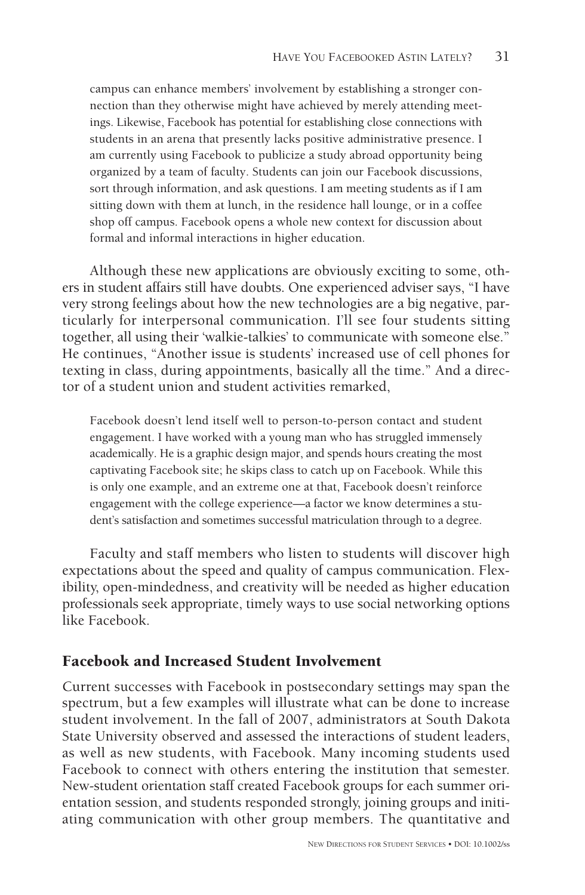campus can enhance members' involvement by establishing a stronger connection than they otherwise might have achieved by merely attending meetings. Likewise, Facebook has potential for establishing close connections with students in an arena that presently lacks positive administrative presence. I am currently using Facebook to publicize a study abroad opportunity being organized by a team of faculty. Students can join our Facebook discussions, sort through information, and ask questions. I am meeting students as if I am sitting down with them at lunch, in the residence hall lounge, or in a coffee shop off campus. Facebook opens a whole new context for discussion about formal and informal interactions in higher education.

Although these new applications are obviously exciting to some, others in student affairs still have doubts. One experienced adviser says, "I have very strong feelings about how the new technologies are a big negative, particularly for interpersonal communication. I'll see four students sitting together, all using their 'walkie-talkies' to communicate with someone else." He continues, "Another issue is students' increased use of cell phones for texting in class, during appointments, basically all the time." And a director of a student union and student activities remarked,

Facebook doesn't lend itself well to person-to-person contact and student engagement. I have worked with a young man who has struggled immensely academically. He is a graphic design major, and spends hours creating the most captivating Facebook site; he skips class to catch up on Facebook. While this is only one example, and an extreme one at that, Facebook doesn't reinforce engagement with the college experience—a factor we know determines a student's satisfaction and sometimes successful matriculation through to a degree.

Faculty and staff members who listen to students will discover high expectations about the speed and quality of campus communication. Flexibility, open-mindedness, and creativity will be needed as higher education professionals seek appropriate, timely ways to use social networking options like Facebook.

#### Facebook and Increased Student Involvement

Current successes with Facebook in postsecondary settings may span the spectrum, but a few examples will illustrate what can be done to increase student involvement. In the fall of 2007, administrators at South Dakota State University observed and assessed the interactions of student leaders, as well as new students, with Facebook. Many incoming students used Facebook to connect with others entering the institution that semester. New-student orientation staff created Facebook groups for each summer orientation session, and students responded strongly, joining groups and initiating communication with other group members. The quantitative and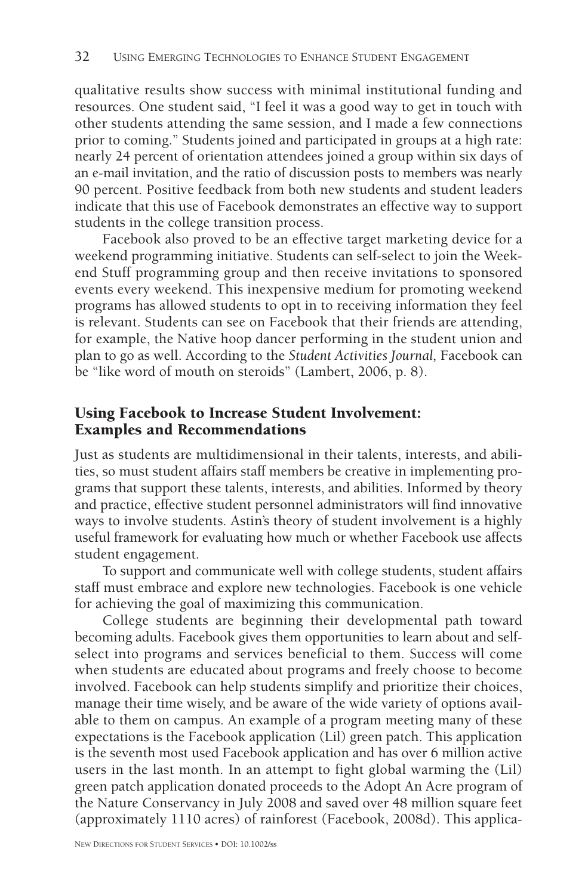qualitative results show success with minimal institutional funding and resources. One student said, "I feel it was a good way to get in touch with other students attending the same session, and I made a few connections prior to coming." Students joined and participated in groups at a high rate: nearly 24 percent of orientation attendees joined a group within six days of an e-mail invitation, and the ratio of discussion posts to members was nearly 90 percent. Positive feedback from both new students and student leaders indicate that this use of Facebook demonstrates an effective way to support students in the college transition process.

Facebook also proved to be an effective target marketing device for a weekend programming initiative. Students can self-select to join the Weekend Stuff programming group and then receive invitations to sponsored events every weekend. This inexpensive medium for promoting weekend programs has allowed students to opt in to receiving information they feel is relevant. Students can see on Facebook that their friends are attending, for example, the Native hoop dancer performing in the student union and plan to go as well. According to the *Student Activities Journal,* Facebook can be "like word of mouth on steroids" (Lambert, 2006, p. 8).

### Using Facebook to Increase Student Involvement: Examples and Recommendations

Just as students are multidimensional in their talents, interests, and abilities, so must student affairs staff members be creative in implementing programs that support these talents, interests, and abilities. Informed by theory and practice, effective student personnel administrators will find innovative ways to involve students. Astin's theory of student involvement is a highly useful framework for evaluating how much or whether Facebook use affects student engagement.

To support and communicate well with college students, student affairs staff must embrace and explore new technologies. Facebook is one vehicle for achieving the goal of maximizing this communication.

College students are beginning their developmental path toward becoming adults. Facebook gives them opportunities to learn about and selfselect into programs and services beneficial to them. Success will come when students are educated about programs and freely choose to become involved. Facebook can help students simplify and prioritize their choices, manage their time wisely, and be aware of the wide variety of options available to them on campus. An example of a program meeting many of these expectations is the Facebook application (Lil) green patch. This application is the seventh most used Facebook application and has over 6 million active users in the last month. In an attempt to fight global warming the (Lil) green patch application donated proceeds to the Adopt An Acre program of the Nature Conservancy in July 2008 and saved over 48 million square feet (approximately 1110 acres) of rainforest (Facebook, 2008d). This applica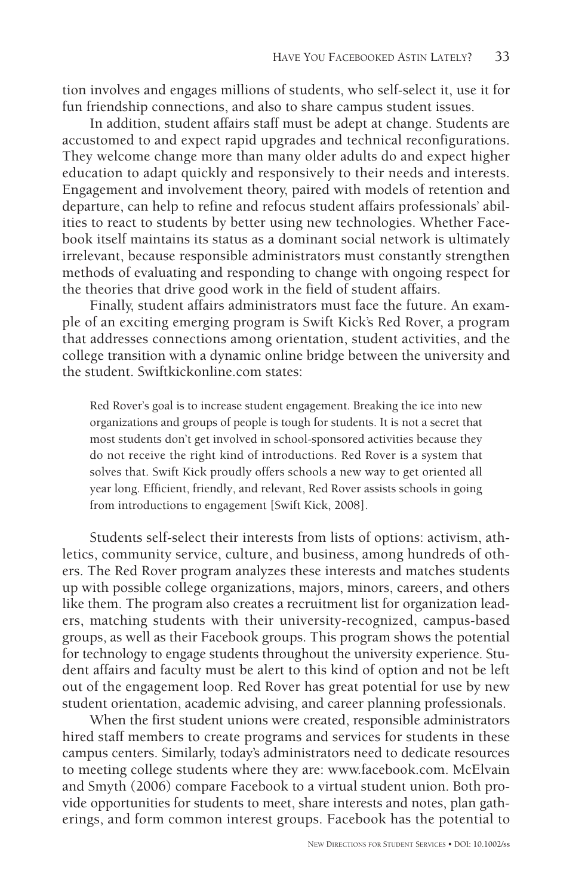tion involves and engages millions of students, who self-select it, use it for fun friendship connections, and also to share campus student issues.

In addition, student affairs staff must be adept at change. Students are accustomed to and expect rapid upgrades and technical reconfigurations. They welcome change more than many older adults do and expect higher education to adapt quickly and responsively to their needs and interests. Engagement and involvement theory, paired with models of retention and departure, can help to refine and refocus student affairs professionals' abilities to react to students by better using new technologies. Whether Facebook itself maintains its status as a dominant social network is ultimately irrelevant, because responsible administrators must constantly strengthen methods of evaluating and responding to change with ongoing respect for the theories that drive good work in the field of student affairs.

Finally, student affairs administrators must face the future. An example of an exciting emerging program is Swift Kick's Red Rover, a program that addresses connections among orientation, student activities, and the college transition with a dynamic online bridge between the university and the student. Swiftkickonline.com states:

Red Rover's goal is to increase student engagement. Breaking the ice into new organizations and groups of people is tough for students. It is not a secret that most students don't get involved in school-sponsored activities because they do not receive the right kind of introductions. Red Rover is a system that solves that. Swift Kick proudly offers schools a new way to get oriented all year long. Efficient, friendly, and relevant, Red Rover assists schools in going from introductions to engagement [Swift Kick, 2008].

Students self-select their interests from lists of options: activism, athletics, community service, culture, and business, among hundreds of others. The Red Rover program analyzes these interests and matches students up with possible college organizations, majors, minors, careers, and others like them. The program also creates a recruitment list for organization leaders, matching students with their university-recognized, campus-based groups, as well as their Facebook groups. This program shows the potential for technology to engage students throughout the university experience. Student affairs and faculty must be alert to this kind of option and not be left out of the engagement loop. Red Rover has great potential for use by new student orientation, academic advising, and career planning professionals.

When the first student unions were created, responsible administrators hired staff members to create programs and services for students in these campus centers. Similarly, today's administrators need to dedicate resources to meeting college students where they are: www.facebook.com. McElvain and Smyth (2006) compare Facebook to a virtual student union. Both provide opportunities for students to meet, share interests and notes, plan gatherings, and form common interest groups. Facebook has the potential to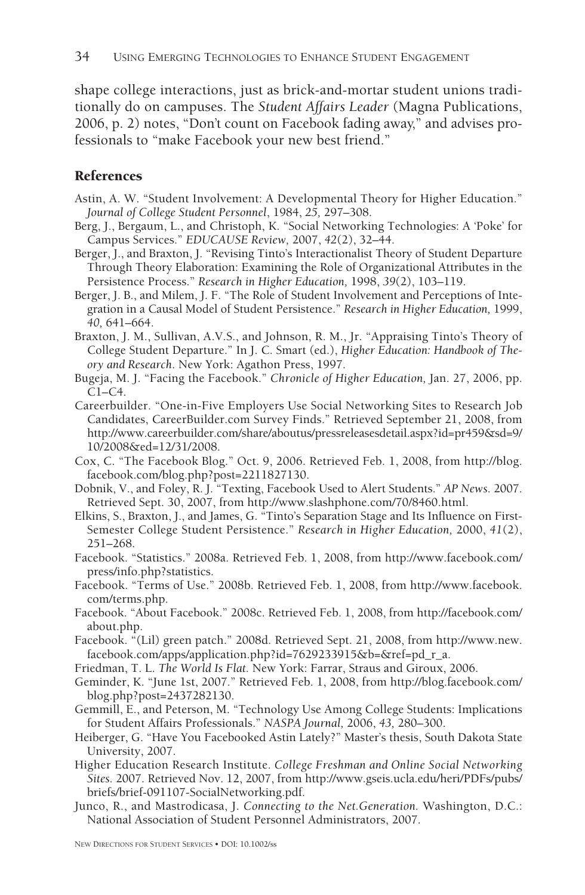shape college interactions, just as brick-and-mortar student unions traditionally do on campuses. The *Student Affairs Leader* (Magna Publications, 2006, p. 2) notes, "Don't count on Facebook fading away," and advises professionals to "make Facebook your new best friend."

## References

- Astin, A. W. "Student Involvement: A Developmental Theory for Higher Education." *Journal of College Student Personnel*, 1984, *25,* 297–308.
- Berg, J., Bergaum, L., and Christoph, K. "Social Networking Technologies: A 'Poke' for Campus Services." *EDUCAUSE Review,* 2007, *42*(2), 32–44.
- Berger, J., and Braxton, J. "Revising Tinto's Interactionalist Theory of Student Departure Through Theory Elaboration: Examining the Role of Organizational Attributes in the Persistence Process." *Research in Higher Education,* 1998, *39*(2), 103–119.
- Berger, J. B., and Milem, J. F. "The Role of Student Involvement and Perceptions of Integration in a Causal Model of Student Persistence." *Research in Higher Education,* 1999, *40,* 641–664.
- Braxton, J. M., Sullivan, A.V.S., and Johnson, R. M., Jr. "Appraising Tinto's Theory of College Student Departure." In J. C. Smart (ed.), *Higher Education: Handbook of Theory and Research*. New York: Agathon Press, 1997.
- Bugeja, M. J. "Facing the Facebook." *Chronicle of Higher Education,* Jan. 27, 2006, pp. C1–C4.
- Careerbuilder. "One-in-Five Employers Use Social Networking Sites to Research Job Candidates, CareerBuilder.com Survey Finds." Retrieved September 21, 2008, from http://www.careerbuilder.com/share/aboutus/pressreleasesdetail.aspx?id=pr459&sd=9/ 10/2008&ed=12/31/2008.
- Cox, C. "The Facebook Blog." Oct. 9, 2006. Retrieved Feb. 1, 2008, from http://blog. facebook.com/blog.php?post=2211827130.
- Dobnik, V., and Foley, R. J. "Texting, Facebook Used to Alert Students." *AP News*. 2007. Retrieved Sept. 30, 2007, from http://www.slashphone.com/70/8460.html.
- Elkins, S., Braxton, J., and James, G. "Tinto's Separation Stage and Its Influence on First-Semester College Student Persistence." *Research in Higher Education,* 2000, *41*(2), 251–268.
- Facebook. "Statistics." 2008a. Retrieved Feb. 1, 2008, from http://www.facebook.com/ press/info.php?statistics.
- Facebook. "Terms of Use." 2008b. Retrieved Feb. 1, 2008, from http://www.facebook. com/terms.php.
- Facebook. "About Facebook." 2008c. Retrieved Feb. 1, 2008, from http://facebook.com/ about.php.
- Facebook. "(Lil) green patch." 2008d. Retrieved Sept. 21, 2008, from http://www.new. facebook.com/apps/application.php?id=7629233915&b=&ref=pd\_r\_a.
- Friedman, T. L. *The World Is Flat.* New York: Farrar, Straus and Giroux, 2006.
- Geminder, K. "June 1st, 2007." Retrieved Feb. 1, 2008, from http://blog.facebook.com/ blog.php?post=2437282130.
- Gemmill, E., and Peterson, M. "Technology Use Among College Students: Implications for Student Affairs Professionals." *NASPA Journal,* 2006, *43,* 280–300.
- Heiberger, G. "Have You Facebooked Astin Lately?" Master's thesis, South Dakota State University, 2007.
- Higher Education Research Institute. *College Freshman and Online Social Networking Sites.* 2007. Retrieved Nov. 12, 2007, from http://www.gseis.ucla.edu/heri/PDFs/pubs/ briefs/brief-091107-SocialNetworking.pdf.
- Junco, R., and Mastrodicasa, J. *Connecting to the Net.Generation.* Washington, D.C.: National Association of Student Personnel Administrators, 2007.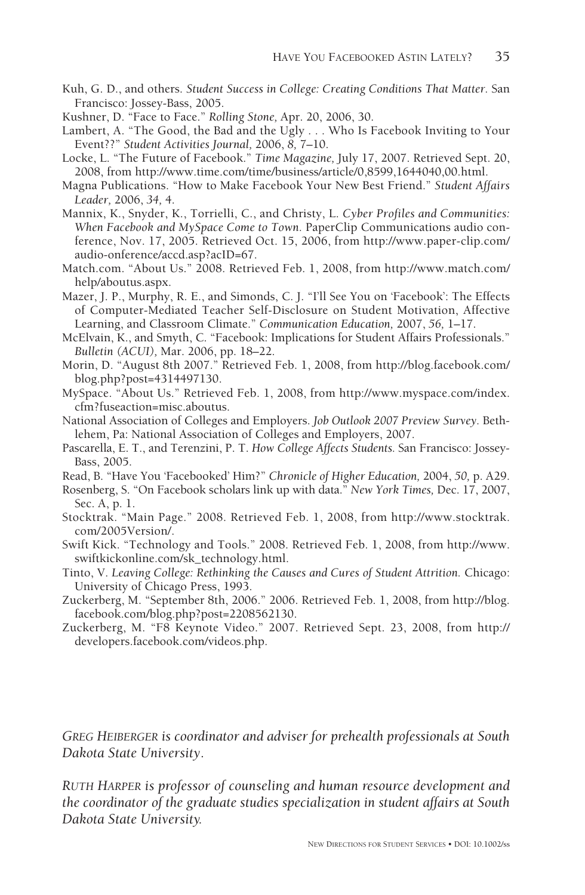- Kuh, G. D., and others. *Student Success in College: Creating Conditions That Matter.* San Francisco: Jossey-Bass, 2005.
- Kushner, D. "Face to Face." *Rolling Stone,* Apr. 20, 2006, 30.
- Lambert, A. "The Good, the Bad and the Ugly . . . Who Is Facebook Inviting to Your Event??" *Student Activities Journal,* 2006, *8,* 7–10.
- Locke, L. "The Future of Facebook." *Time Magazine,* July 17, 2007. Retrieved Sept. 20, 2008, from http://www.time.com/time/business/article/0,8599,1644040,00.html.
- Magna Publications. "How to Make Facebook Your New Best Friend." *Student Affairs Leader,* 2006, *34,* 4.
- Mannix, K., Snyder, K., Torrielli, C., and Christy, L. *Cyber Profiles and Communities: When Facebook and MySpace Come to Town.* PaperClip Communications audio conference, Nov. 17, 2005. Retrieved Oct. 15, 2006, from http://www.paper-clip.com/ audio-onference/accd.asp?acID=67.
- Match.com. "About Us." 2008. Retrieved Feb. 1, 2008, from http://www.match.com/ help/aboutus.aspx.
- Mazer, J. P., Murphy, R. E., and Simonds, C. J. "I'll See You on 'Facebook': The Effects of Computer-Mediated Teacher Self-Disclosure on Student Motivation, Affective Learning, and Classroom Climate." *Communication Education,* 2007, *56,* 1–17.
- McElvain, K., and Smyth, C. "Facebook: Implications for Student Affairs Professionals." *Bulletin (ACUI),* Mar. 2006, pp. 18–22.
- Morin, D. "August 8th 2007." Retrieved Feb. 1, 2008, from http://blog.facebook.com/ blog.php?post=4314497130.
- MySpace. "About Us." Retrieved Feb. 1, 2008, from http://www.myspace.com/index. cfm?fuseaction=misc.aboutus.
- National Association of Colleges and Employers. *Job Outlook 2007 Preview Survey.* Bethlehem, Pa: National Association of Colleges and Employers, 2007.
- Pascarella, E. T., and Terenzini, P. T. *How College Affects Students.* San Francisco: Jossey-Bass, 2005.
- Read, B. "Have You 'Facebooked' Him?" *Chronicle of Higher Education,* 2004, *50,* p. A29.
- Rosenberg, S. "On Facebook scholars link up with data." *New York Times,* Dec. 17, 2007, Sec. A, p. 1.
- Stocktrak. "Main Page." 2008. Retrieved Feb. 1, 2008, from http://www.stocktrak. com/2005Version/.
- Swift Kick. "Technology and Tools." 2008. Retrieved Feb. 1, 2008, from http://www. swiftkickonline.com/sk\_technology.html.
- Tinto, V. *Leaving College: Rethinking the Causes and Cures of Student Attrition.* Chicago: University of Chicago Press, 1993.
- Zuckerberg, M. "September 8th, 2006." 2006. Retrieved Feb. 1, 2008, from http://blog. facebook.com/blog.php?post=2208562130.
- Zuckerberg, M. "F8 Keynote Video." 2007. Retrieved Sept. 23, 2008, from http:// developers.facebook.com/videos.php.

*GREG HEIBERGER is coordinator and adviser for prehealth professionals at South Dakota State University*.

*RUTH HARPER is professor of counseling and human resource development and the coordinator of the graduate studies specialization in student affairs at South Dakota State University.*